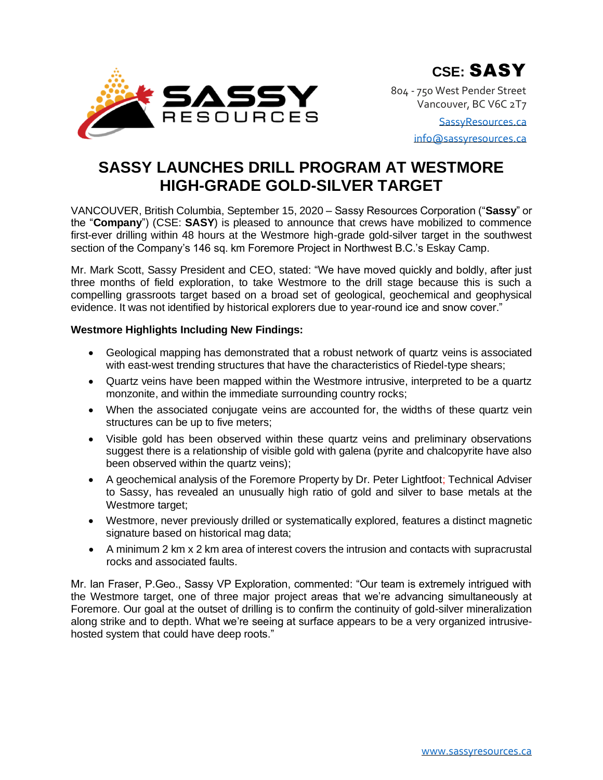

804 - 750 West Pender Street Vancouver, BC V6C 2T7

> [SassyResources.ca](http://www.sassyresources.ca/) [info@sassyresources.ca](mailto:info@sassyresources.ca)

# **SASSY LAUNCHES DRILL PROGRAM AT WESTMORE HIGH-GRADE GOLD-SILVER TARGET**

VANCOUVER, British Columbia, September 15, 2020 – Sassy Resources Corporation ("**Sassy**" or the "**Company**") (CSE: **SASY**) is pleased to announce that crews have mobilized to commence first-ever drilling within 48 hours at the Westmore high-grade gold-silver target in the southwest section of the Company's 146 sq. km Foremore Project in Northwest B.C.'s Eskay Camp.

Mr. Mark Scott, Sassy President and CEO, stated: "We have moved quickly and boldly, after just three months of field exploration, to take Westmore to the drill stage because this is such a compelling grassroots target based on a broad set of geological, geochemical and geophysical evidence. It was not identified by historical explorers due to year-round ice and snow cover."

## **Westmore Highlights Including New Findings:**

- Geological mapping has demonstrated that a robust network of quartz veins is associated with east-west trending structures that have the characteristics of Riedel-type shears;
- Quartz veins have been mapped within the Westmore intrusive, interpreted to be a quartz monzonite, and within the immediate surrounding country rocks;
- When the associated conjugate veins are accounted for, the widths of these quartz vein structures can be up to five meters;
- Visible gold has been observed within these quartz veins and preliminary observations suggest there is a relationship of visible gold with galena (pyrite and chalcopyrite have also been observed within the quartz veins);
- A geochemical analysis of the Foremore Property by Dr. Peter Lightfoot; Technical Adviser to Sassy, has revealed an unusually high ratio of gold and silver to base metals at the Westmore target;
- Westmore, never previously drilled or systematically explored, features a distinct magnetic signature based on historical mag data;
- A minimum 2 km x 2 km area of interest covers the intrusion and contacts with supracrustal rocks and associated faults.

Mr. Ian Fraser, P.Geo., Sassy VP Exploration, commented: "Our team is extremely intrigued with the Westmore target, one of three major project areas that we're advancing simultaneously at Foremore. Our goal at the outset of drilling is to confirm the continuity of gold-silver mineralization along strike and to depth. What we're seeing at surface appears to be a very organized intrusivehosted system that could have deep roots."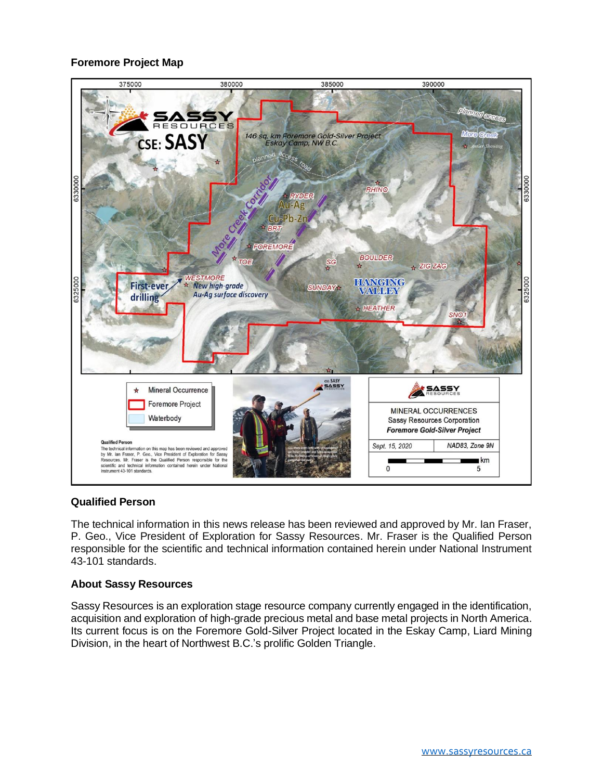# **Foremore Project Map**



#### **Qualified Person**

The technical information in this news release has been reviewed and approved by Mr. Ian Fraser, P. Geo., Vice President of Exploration for Sassy Resources. Mr. Fraser is the Qualified Person responsible for the scientific and technical information contained herein under National Instrument 43-101 standards.

### **About Sassy Resources**

Sassy Resources is an exploration stage resource company currently engaged in the identification, acquisition and exploration of high-grade precious metal and base metal projects in North America. Its current focus is on the Foremore Gold-Silver Project located in the Eskay Camp, Liard Mining Division, in the heart of Northwest B.C.'s prolific Golden Triangle.